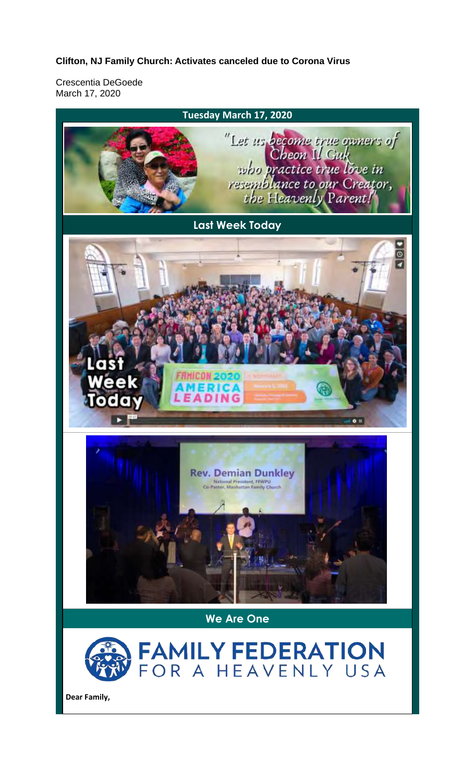## **Clifton, NJ Family Church: Activates canceled due to Corona Virus**

Crescentia DeGoede March 17, 2020

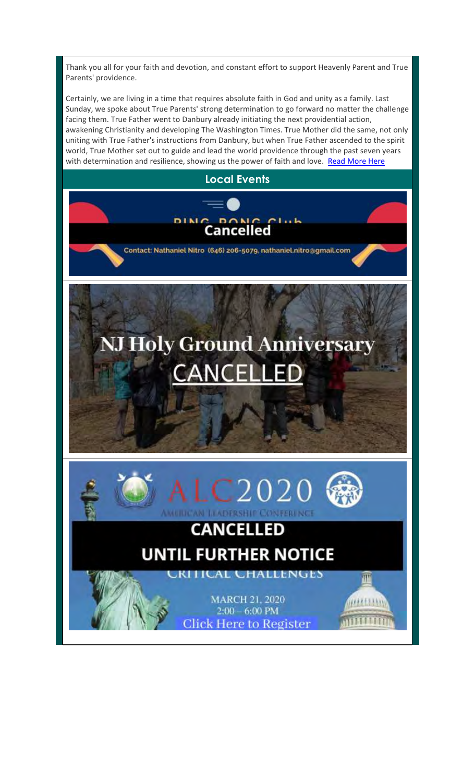Thank you all for your faith and devotion, and constant effort to support Heavenly Parent and True Parents' providence.

Certainly, we are living in a time that requires absolute faith in God and unity as a family. Last Sunday, we spoke about True Parents' strong determination to go forward no matter the challenge facing them. True Father went to Danbury already initiating the next providential action, awakening Christianity and developing The Washington Times. True Mother did the same, not only uniting with True Father's instructions from Danbury, but when True Father ascended to the spirit world, True Mother set out to guide and lead the world providence through the past seven years with determination and resilience, showing us the power of faith and love. Read More Here